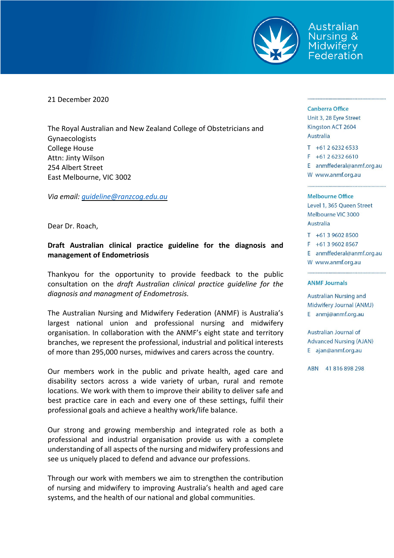

Australian Jursina & Midwifery Federation

21 December 2020

The Royal Australian and New Zealand College of Obstetricians and Gynaecologists College House Attn: Jinty Wilson 254 Albert Street East Melbourne, VIC 3002

*Via email: [guideline@ranzcog.edu.au](mailto:guideline@ranzcog.edu.au)*

Dear Dr. Roach,

# **Draft Australian clinical practice guideline for the diagnosis and management of Endometriosis**

Thankyou for the opportunity to provide feedback to the public consultation on the *draft Australian clinical practice guideline for the diagnosis and managment of Endometrosis.*

The Australian Nursing and Midwifery Federation (ANMF) is Australia's largest national union and professional nursing and midwifery organisation. In collaboration with the ANMF's eight state and territory branches, we represent the professional, industrial and political interests of more than 295,000 nurses, midwives and carers across the country.

Our members work in the public and private health, aged care and disability sectors across a wide variety of urban, rural and remote locations. We work with them to improve their ability to deliver safe and best practice care in each and every one of these settings, fulfil their professional goals and achieve a healthy work/life balance.

Our strong and growing membership and integrated role as both a professional and industrial organisation provide us with a complete understanding of all aspects of the nursing and midwifery professions and see us uniquely placed to defend and advance our professions.

Through our work with members we aim to strengthen the contribution of nursing and midwifery to improving Australia's health and aged care systems, and the health of our national and global communities.

### **Canberra Office**

Unit 3, 28 Eyre Street Kingston ACT 2604 Australia

 $T + 61262326533$  $F + 61262326610$ E anmffederal@anmf.org.au

W www.anmf.org.au

### **Melbourne Office**

Level 1, 365 Queen Street Melbourne VIC 3000 Australia

 $T + 61396028500$ 

- F +61 3 9602 8567
- E anmffederal@anmf.org.au

W www.anmf.org.au

### **ANMF Journals**

Australian Nursing and Midwifery Journal (ANMJ) E anmj@anmf.org.au

Australian Journal of **Advanced Nursing (AJAN)** E ajan@anmf.org.au

ABN 41816898298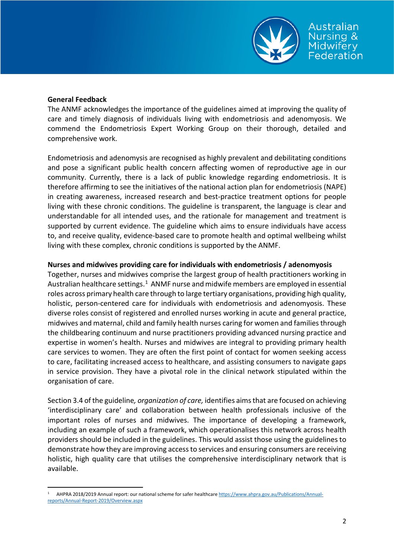

## **General Feedback**

The ANMF acknowledges the importance of the guidelines aimed at improving the quality of care and timely diagnosis of individuals living with endometriosis and adenomyosis. We commend the Endometriosis Expert Working Group on their thorough, detailed and comprehensive work.

Endometriosis and adenomysis are recognised as highly prevalent and debilitating conditions and pose a significant public health concern affecting women of reproductive age in our community. Currently, there is a lack of public knowledge regarding endometriosis. It is therefore affirming to see the initiatives of the national action plan for endometriosis (NAPE) in creating awareness, increased research and best-practice treatment options for people living with these chronic conditions. The guideline is transparent, the language is clear and understandable for all intended uses, and the rationale for management and treatment is supported by current evidence. The guideline which aims to ensure individuals have access to, and receive quality, evidence-based care to promote health and optimal wellbeing whilst living with these complex, chronic conditions is supported by the ANMF.

# **Nurses and midwives providing care for individuals with endometriosis / adenomyosis**

Together, nurses and midwives comprise the largest group of health practitioners working in Australian healthcare settings.<sup>[1](#page-1-0)</sup> ANMF nurse and midwife members are employed in essential roles across primary health care through to large tertiary organisations, providing high quality, holistic, person-centered care for individuals with endometriosis and adenomyosis. These diverse roles consist of registered and enrolled nurses working in acute and general practice, midwives and maternal, child and family health nurses caring for women and familiesthrough the childbearing continuum and nurse practitioners providing advanced nursing practice and expertise in women's health. Nurses and midwives are integral to providing primary health care services to women. They are often the first point of contact for women seeking access to care, facilitating increased access to healthcare, and assisting consumers to navigate gaps in service provision. They have a pivotal role in the clinical network stipulated within the organisation of care.

Section 3.4 of the guideline*, organization of care,* identifies aimsthat are focused on achieving 'interdisciplinary care' and collaboration between health professionals inclusive of the important roles of nurses and midwives. The importance of developing a framework, including an example of such a framework, which operationalises this network across health providers should be included in the guidelines. This would assist those using the guidelines to demonstrate how they are improving accessto services and ensuring consumers are receiving holistic, high quality care that utilises the comprehensive interdisciplinary network that is available.

<span id="page-1-0"></span>AHPRA 2018/2019 Annual report: our national scheme for safer healthcare [https://www.ahpra.gov.au/Publications/Annual](https://www.ahpra.gov.au/Publications/Annual-reports/Annual-Report-2019/Overview.aspx)[reports/Annual-Report-2019/Overview.aspx](https://www.ahpra.gov.au/Publications/Annual-reports/Annual-Report-2019/Overview.aspx)